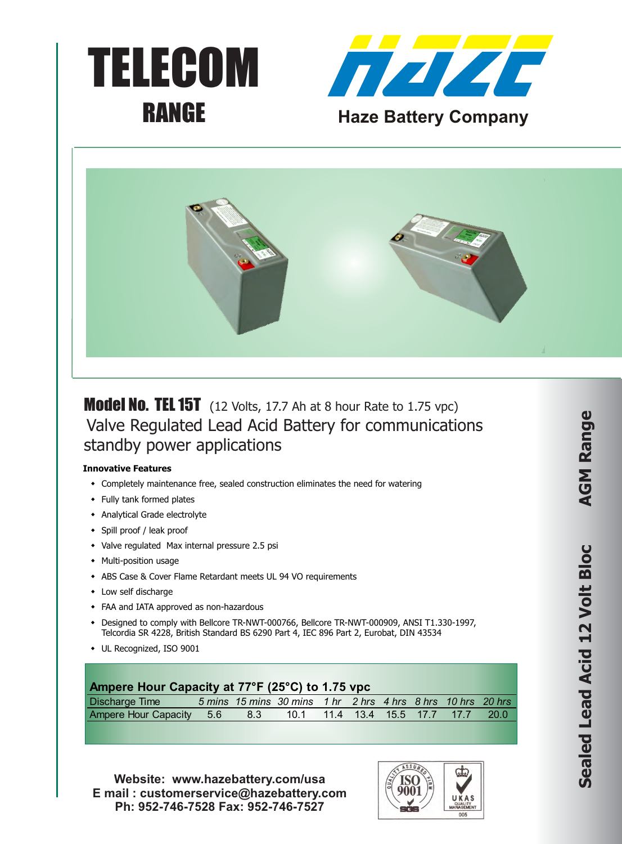





**Model No. TEL 15T** (12 Volts, 17.7 Ah at 8 hour Rate to 1.75 vpc) Valve Regulated Lead Acid Battery for communications standby power applications

## **Innovative Features**

- Completely maintenance free, sealed construction eliminates the need for watering
- Fully tank formed plates
- Analytical Grade electrolyte
- Spill proof / leak proof
- Valve regulated Max internal pressure 2.5 psi
- Multi-position usage
- \* ABS Case & Cover Flame Retardant meets UL 94 VO requirements
- $\cdot$  Low self discharge
- FAA and IATA approved as non-hazardous
- \* Designed to comply with Bellcore TR-NWT-000766, Bellcore TR-NWT-000909, ANSI T1.330-1997, Telcordia SR 4228, British Standard BS 6290 Part 4, IEC 896 Part 2, Eurobat, DIN 43534
- UL Recognized, ISO 9001

| Ampere Hour Capacity at 77°F (25°C) to 1.75 vpc |  |  |
|-------------------------------------------------|--|--|
|-------------------------------------------------|--|--|

| Discharge Time                                                  |  | 5 mins 15 mins 30 mins 1 hr 2 hrs 4 hrs 8 hrs 10 hrs 20 hrs |  |  |  |
|-----------------------------------------------------------------|--|-------------------------------------------------------------|--|--|--|
| Ampere Hour Capacity 5.6 8.3 10.1 11.4 13.4 15.5 17.7 17.7 20.0 |  |                                                             |  |  |  |

**Website: www.hazebattery.com/usa E mail : customerservice@hazebattery.com Ph: 952-746-7528 Fax: 952-746-7527**